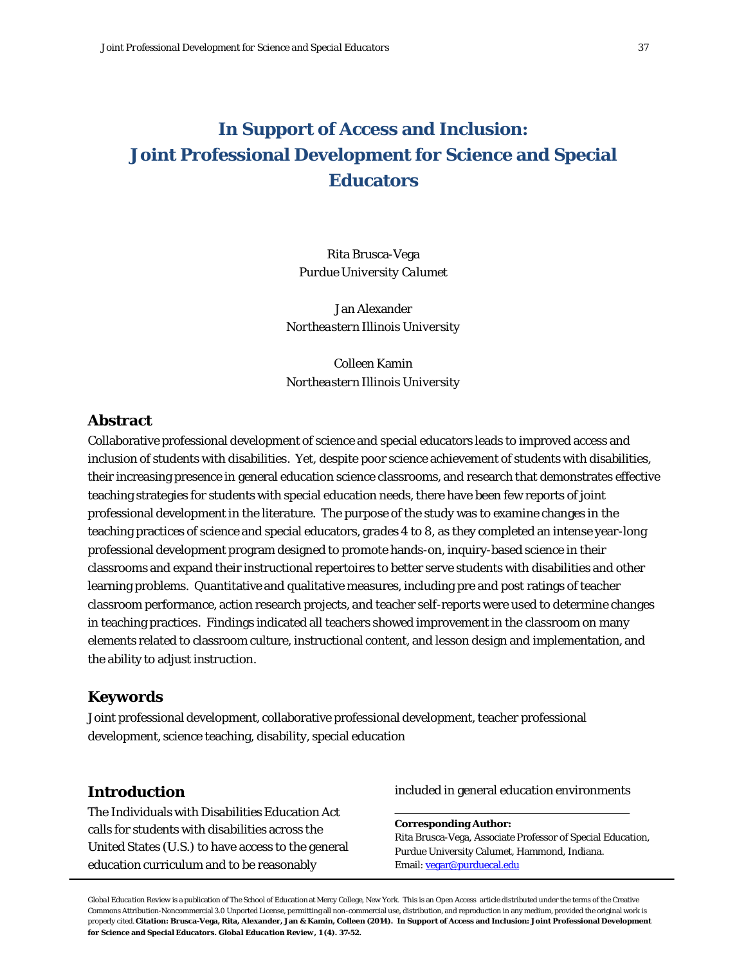# **In Support of Access and Inclusion: Joint Professional Development for Science and Special Educators**

Rita Brusca-Vega *Purdue University Calumet*

Jan Alexander *Northeastern Illinois University*

Colleen Kamin *Northeastern Illinois University*

## **Abstract**

Collaborative professional development of science and special educators leads to improved access and inclusion of students with disabilities. Yet, despite poor science achievement of students with disabilities, their increasing presence in general education science classrooms, and research that demonstrates effective teaching strategies for students with special education needs, there have been few reports of joint professional development in the literature. The purpose of the study was to examine changes in the teaching practices of science and special educators, grades 4 to 8, as they completed an intense year-long professional development program designed to promote hands-on, inquiry-based science in their classrooms and expand their instructional repertoires to better serve students with disabilities and other learning problems. Quantitative and qualitative measures, including pre and post ratings of teacher classroom performance, action research projects, and teacher self-reports were used to determine changes in teaching practices. Findings indicated all teachers showed improvement in the classroom on many elements related to classroom culture, instructional content, and lesson design and implementation, and the ability to adjust instruction.

### **Keywords**

Joint professional development, collaborative professional development, teacher professional development, science teaching, disability, special education

## **Introduction**

The Individuals with Disabilities Education Act calls for students with disabilities across the United States (U.S.) to have access to the general education curriculum and to be reasonably

included in general education environments

**Corresponding Author:** Rita Brusca-Vega, Associate Professor of Special Education, Purdue University Calumet, Hammond, Indiana. Email[: vegar@purduecal.edu](mailto:vegar@purduecal.edu)

*Global Education Review* is a publication of The School of Education at Mercy College, New York. This is an Open Access article distributed under the terms of the Creative Commons Attribution-Noncommercial 3.0 Unported License, permitting all non-commercial use, distribution, and reproduction in any medium, provided the original work is properly cited. Citation: Brusca-Vega, Rita, Alexander, Jan & Kamin, Colleen (2014). In Support of Access and Inclusion: Joint Professional Development **for Science and Special Educators.** *Global Education Review, 1* **(4). 37-52.**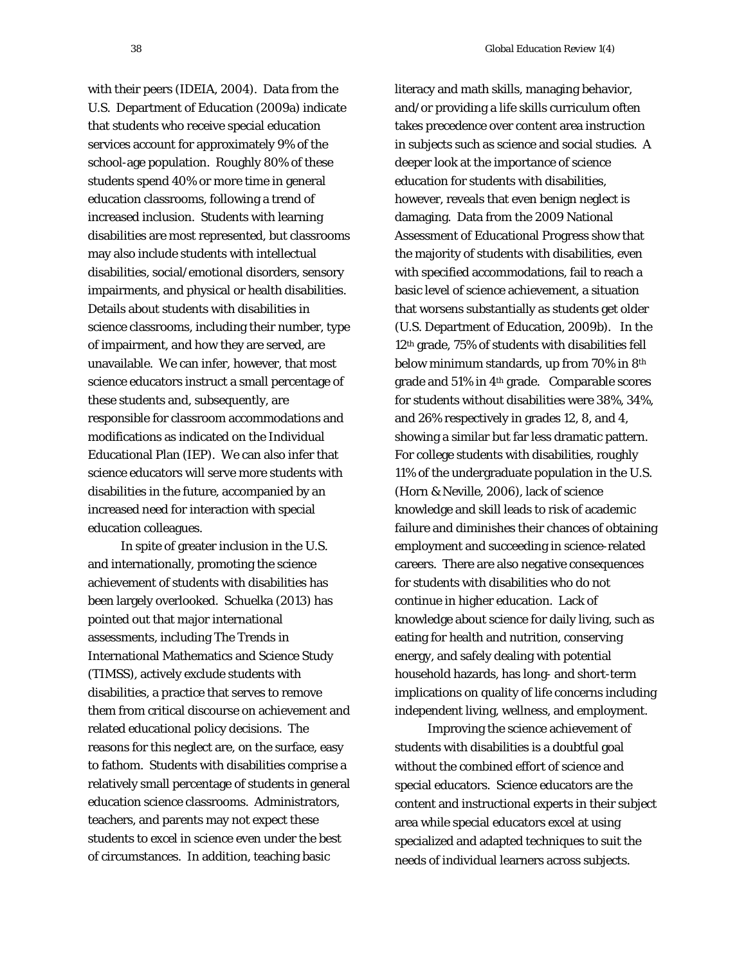*38 Global Education Review 1*(4)

with their peers (IDEIA, 2004). Data from the U.S. Department of Education (2009a) indicate that students who receive special education services account for approximately 9% of the school-age population. Roughly 80% of these students spend 40% or more time in general education classrooms, following a trend of increased inclusion. Students with learning disabilities are most represented, but classrooms may also include students with intellectual disabilities, social/emotional disorders, sensory impairments, and physical or health disabilities. Details about students with disabilities in science classrooms, including their number, type of impairment, and how they are served, are unavailable. We can infer, however, that most science educators instruct a small percentage of these students and, subsequently, are responsible for classroom accommodations and modifications as indicated on the Individual Educational Plan (IEP). We can also infer that science educators will serve more students with disabilities in the future, accompanied by an increased need for interaction with special education colleagues.

In spite of greater inclusion in the U.S. and internationally, promoting the science achievement of students with disabilities has been largely overlooked. Schuelka (2013) has pointed out that major international assessments, including The Trends in International Mathematics and Science Study (TIMSS), actively exclude students with disabilities, a practice that serves to remove them from critical discourse on achievement and related educational policy decisions. The reasons for this neglect are, on the surface, easy to fathom. Students with disabilities comprise a relatively small percentage of students in general education science classrooms. Administrators, teachers, and parents may not expect these students to excel in science even under the best of circumstances. In addition, teaching basic

literacy and math skills, managing behavior, and/or providing a life skills curriculum often takes precedence over content area instruction in subjects such as science and social studies. A deeper look at the importance of science education for students with disabilities, however, reveals that even benign neglect is damaging. Data from the 2009 National Assessment of Educational Progress show that the majority of students with disabilities, even with specified accommodations, fail to reach a basic level of science achievement, a situation that worsens substantially as students get older (U.S. Department of Education, 2009b). In the 12th grade, 75% of students with disabilities fell below minimum standards, up from 70% in 8th grade and 51% in 4th grade. Comparable scores for students without disabilities were 38%, 34%, and 26% respectively in grades 12, 8, and 4, showing a similar but far less dramatic pattern. For college students with disabilities, roughly 11% of the undergraduate population in the U.S. (Horn & Neville, 2006), lack of science knowledge and skill leads to risk of academic failure and diminishes their chances of obtaining employment and succeeding in science-related careers. There are also negative consequences for students with disabilities who do not continue in higher education. Lack of knowledge about science for daily living, such as eating for health and nutrition, conserving energy, and safely dealing with potential household hazards, has long- and short-term implications on quality of life concerns including independent living, wellness, and employment.

Improving the science achievement of students with disabilities is a doubtful goal without the combined effort of science and special educators. Science educators are the content and instructional experts in their subject area while special educators excel at using specialized and adapted techniques to suit the needs of individual learners across subjects.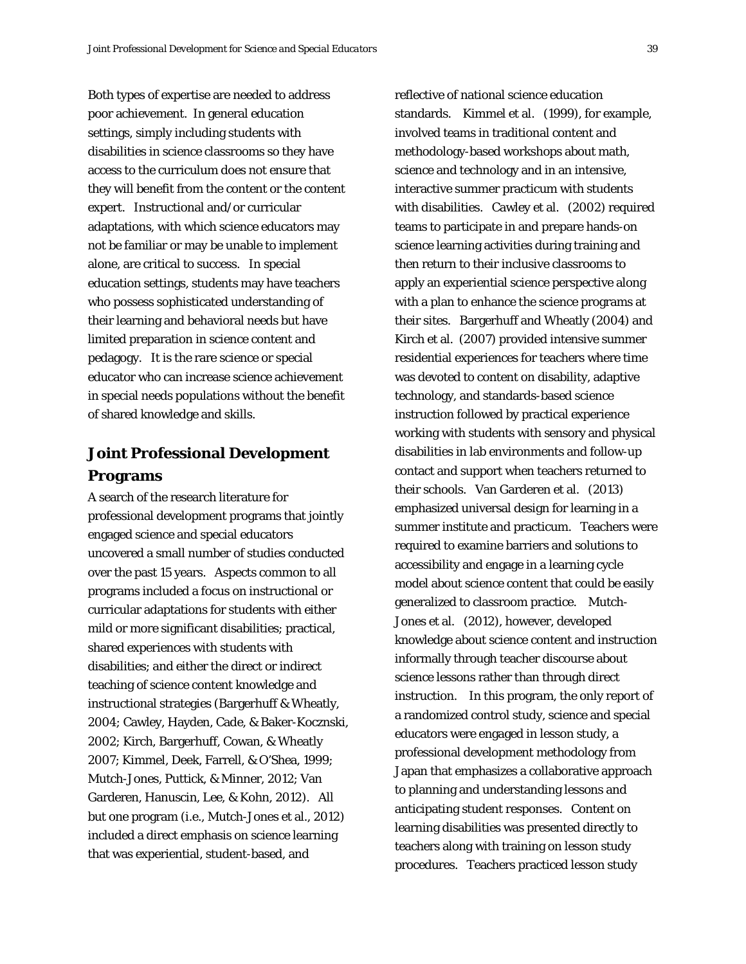Both types of expertise are needed to address poor achievement. In general education settings, simply including students with disabilities in science classrooms so they have access to the curriculum does not ensure that they will benefit from the content or the content expert. Instructional and/or curricular adaptations, with which science educators may not be familiar or may be unable to implement alone, are critical to success. In special education settings, students may have teachers who possess sophisticated understanding of their learning and behavioral needs but have limited preparation in science content and pedagogy. It is the rare science or special educator who can increase science achievement in special needs populations without the benefit of shared knowledge and skills.

## **Joint Professional Development Programs**

A search of the research literature for professional development programs that jointly engaged science and special educators uncovered a small number of studies conducted over the past 15 years. Aspects common to all programs included a focus on instructional or curricular adaptations for students with either mild or more significant disabilities; practical, shared experiences with students with disabilities; and either the direct or indirect teaching of science content knowledge and instructional strategies (Bargerhuff & Wheatly, 2004; Cawley, Hayden, Cade, & Baker-Kocznski, 2002; Kirch, Bargerhuff, Cowan, & Wheatly 2007; Kimmel, Deek, Farrell, & O'Shea, 1999; Mutch-Jones, Puttick, & Minner, 2012; Van Garderen, Hanuscin, Lee, & Kohn, 2012). All but one program (i.e., Mutch-Jones et al., 2012) included a direct emphasis on science learning that was experiential, student-based, and

reflective of national science education standards. Kimmel et al. (1999), for example, involved teams in traditional content and methodology-based workshops about math, science and technology and in an intensive, interactive summer practicum with students with disabilities. Cawley et al. (2002) required teams to participate in and prepare hands-on science learning activities during training and then return to their inclusive classrooms to apply an experiential science perspective along with a plan to enhance the science programs at their sites. Bargerhuff and Wheatly (2004) and Kirch et al. (2007) provided intensive summer residential experiences for teachers where time was devoted to content on disability, adaptive technology, and standards-based science instruction followed by practical experience working with students with sensory and physical disabilities in lab environments and follow-up contact and support when teachers returned to their schools. Van Garderen et al. (2013) emphasized universal design for learning in a summer institute and practicum. Teachers were required to examine barriers and solutions to accessibility and engage in a learning cycle model about science content that could be easily generalized to classroom practice. Mutch-Jones et al. (2012), however, developed knowledge about science content and instruction informally through teacher discourse about science lessons rather than through direct instruction. In this program, the only report of a randomized control study, science and special educators were engaged in lesson study, a professional development methodology from Japan that emphasizes a collaborative approach to planning and understanding lessons and anticipating student responses. Content on learning disabilities was presented directly to teachers along with training on lesson study procedures. Teachers practiced lesson study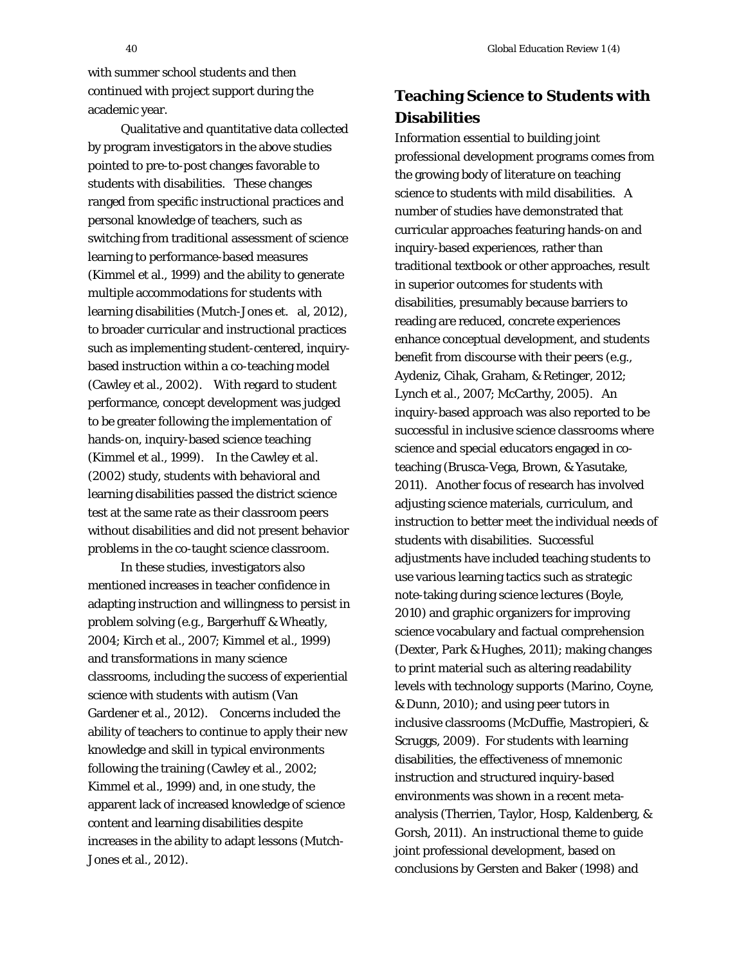with summer school students and then continued with project support during the academic year.

Qualitative and quantitative data collected by program investigators in the above studies pointed to pre-to-post changes favorable to students with disabilities. These changes ranged from specific instructional practices and personal knowledge of teachers, such as switching from traditional assessment of science learning to performance-based measures (Kimmel et al., 1999) and the ability to generate multiple accommodations for students with learning disabilities (Mutch-Jones et. al, 2012), to broader curricular and instructional practices such as implementing student-centered, inquirybased instruction within a co-teaching model (Cawley et al., 2002). With regard to student performance, concept development was judged to be greater following the implementation of hands-on, inquiry-based science teaching (Kimmel et al., 1999). In the Cawley et al. (2002) study, students with behavioral and learning disabilities passed the district science test at the same rate as their classroom peers without disabilities and did not present behavior problems in the co-taught science classroom.

In these studies, investigators also mentioned increases in teacher confidence in adapting instruction and willingness to persist in problem solving (e.g., Bargerhuff & Wheatly, 2004; Kirch et al., 2007; Kimmel et al., 1999) and transformations in many science classrooms, including the success of experiential science with students with autism (Van Gardener et al., 2012). Concerns included the ability of teachers to continue to apply their new knowledge and skill in typical environments following the training (Cawley et al., 2002; Kimmel et al., 1999) and, in one study, the apparent lack of increased knowledge of science content and learning disabilities despite increases in the ability to adapt lessons (Mutch-Jones et al., 2012).

## **Teaching Science to Students with Disabilities**

Information essential to building joint professional development programs comes from the growing body of literature on teaching science to students with mild disabilities. A number of studies have demonstrated that curricular approaches featuring hands-on and inquiry-based experiences, rather than traditional textbook or other approaches, result in superior outcomes for students with disabilities, presumably because barriers to reading are reduced, concrete experiences enhance conceptual development, and students benefit from discourse with their peers (e.g., Aydeniz, Cihak, Graham, & Retinger, 2012; Lynch et al., 2007; McCarthy, 2005). An inquiry-based approach was also reported to be successful in inclusive science classrooms where science and special educators engaged in coteaching (Brusca-Vega, Brown, & Yasutake, 2011). Another focus of research has involved adjusting science materials, curriculum, and instruction to better meet the individual needs of students with disabilities. Successful adjustments have included teaching students to use various learning tactics such as strategic note-taking during science lectures (Boyle, 2010) and graphic organizers for improving science vocabulary and factual comprehension (Dexter, Park & Hughes, 2011); making changes to print material such as altering readability levels with technology supports (Marino, Coyne, & Dunn, 2010); and using peer tutors in inclusive classrooms (McDuffie, Mastropieri, & Scruggs, 2009). For students with learning disabilities, the effectiveness of mnemonic instruction and structured inquiry-based environments was shown in a recent metaanalysis (Therrien, Taylor, Hosp, Kaldenberg, & Gorsh, 2011). An instructional theme to guide joint professional development, based on conclusions by Gersten and Baker (1998) and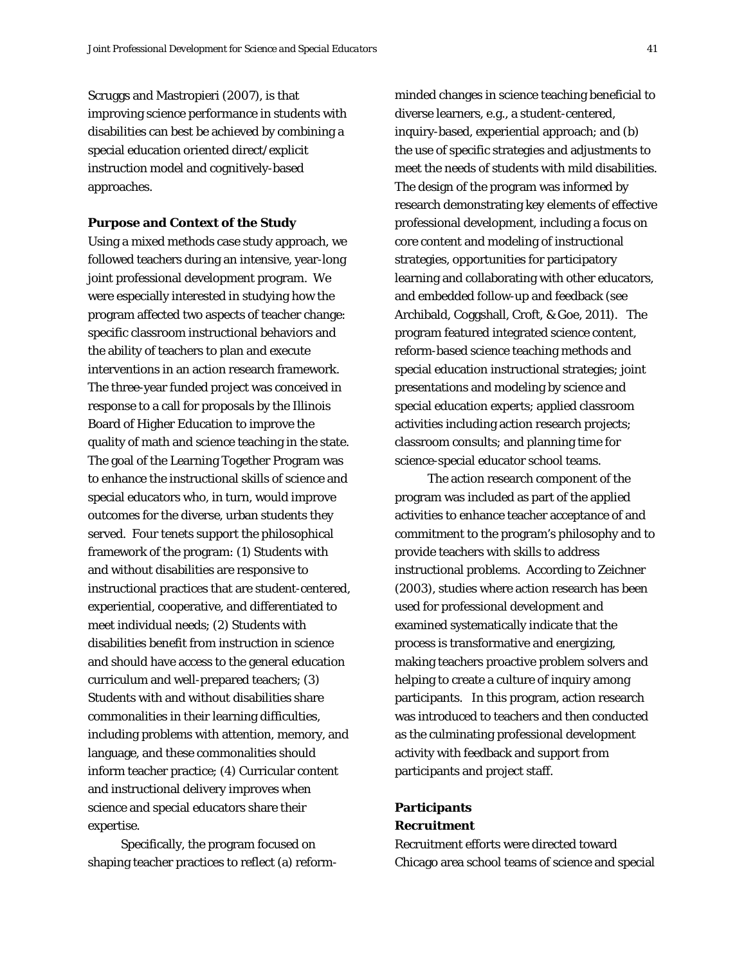Scruggs and Mastropieri (2007), is that improving science performance in students with disabilities can best be achieved by combining a special education oriented direct/explicit instruction model and cognitively-based

#### **Purpose and Context of the Study**

approaches.

Using a mixed methods case study approach, we followed teachers during an intensive, year-long joint professional development program. We were especially interested in studying how the program affected two aspects of teacher change: specific classroom instructional behaviors and the ability of teachers to plan and execute interventions in an action research framework. The three-year funded project was conceived in response to a call for proposals by the Illinois Board of Higher Education to improve the quality of math and science teaching in the state. The goal of the Learning Together Program was to enhance the instructional skills of science and special educators who, in turn, would improve outcomes for the diverse, urban students they served. Four tenets support the philosophical framework of the program: (1) Students with and without disabilities are responsive to instructional practices that are student-centered, experiential, cooperative, and differentiated to meet individual needs; (2) Students with disabilities benefit from instruction in science and should have access to the general education curriculum and well-prepared teachers; (3) Students with and without disabilities share commonalities in their learning difficulties, including problems with attention, memory, and language, and these commonalities should inform teacher practice; (4) Curricular content and instructional delivery improves when science and special educators share their expertise.

Specifically, the program focused on shaping teacher practices to reflect (a) reformminded changes in science teaching beneficial to diverse learners, e.g., a student-centered, inquiry-based, experiential approach; and (b) the use of specific strategies and adjustments to meet the needs of students with mild disabilities. The design of the program was informed by research demonstrating key elements of effective professional development, including a focus on core content and modeling of instructional strategies, opportunities for participatory learning and collaborating with other educators, and embedded follow-up and feedback (see Archibald, Coggshall, Croft, & Goe, 2011). The program featured integrated science content, reform-based science teaching methods and special education instructional strategies; joint presentations and modeling by science and special education experts; applied classroom activities including action research projects; classroom consults; and planning time for science-special educator school teams.

The action research component of the program was included as part of the applied activities to enhance teacher acceptance of and commitment to the program's philosophy and to provide teachers with skills to address instructional problems. According to Zeichner (2003), studies where action research has been used for professional development and examined systematically indicate that the process is transformative and energizing, making teachers proactive problem solvers and helping to create a culture of inquiry among participants. In this program, action research was introduced to teachers and then conducted as the culminating professional development activity with feedback and support from participants and project staff.

## **Participants** *Recruitment*

Recruitment efforts were directed toward Chicago area school teams of science and special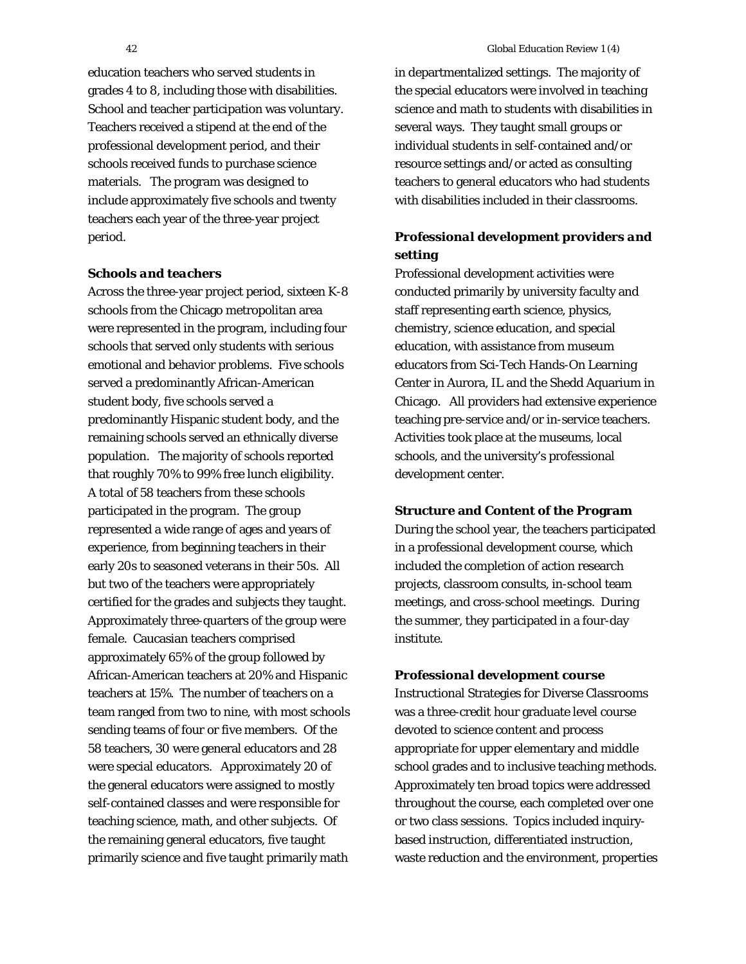education teachers who served students in grades 4 to 8, including those with disabilities. School and teacher participation was voluntary. Teachers received a stipend at the end of the professional development period, and their schools received funds to purchase science materials. The program was designed to include approximately five schools and twenty teachers each year of the three-year project period.

#### *Schools and teachers*

Across the three-year project period, sixteen K-8 schools from the Chicago metropolitan area were represented in the program, including four schools that served only students with serious emotional and behavior problems. Five schools served a predominantly African-American student body, five schools served a predominantly Hispanic student body, and the remaining schools served an ethnically diverse population. The majority of schools reported that roughly 70% to 99% free lunch eligibility. A total of 58 teachers from these schools participated in the program. The group represented a wide range of ages and years of experience, from beginning teachers in their early 20s to seasoned veterans in their 50s. All but two of the teachers were appropriately certified for the grades and subjects they taught. Approximately three-quarters of the group were female. Caucasian teachers comprised approximately 65% of the group followed by African-American teachers at 20% and Hispanic teachers at 15%. The number of teachers on a team ranged from two to nine, with most schools sending teams of four or five members. Of the 58 teachers, 30 were general educators and 28 were special educators. Approximately 20 of the general educators were assigned to mostly self-contained classes and were responsible for teaching science, math, and other subjects. Of the remaining general educators, five taught primarily science and five taught primarily math

in departmentalized settings. The majority of the special educators were involved in teaching science and math to students with disabilities in several ways. They taught small groups or individual students in self-contained and/or resource settings and/or acted as consulting teachers to general educators who had students with disabilities included in their classrooms.

## *Professional development providers and setting*

Professional development activities were conducted primarily by university faculty and staff representing earth science, physics, chemistry, science education, and special education, with assistance from museum educators from Sci-Tech Hands-On Learning Center in Aurora, IL and the Shedd Aquarium in Chicago. All providers had extensive experience teaching pre-service and/or in-service teachers. Activities took place at the museums, local schools, and the university's professional development center.

#### **Structure and Content of the Program**

During the school year, the teachers participated in a professional development course, which included the completion of action research projects, classroom consults, in-school team meetings, and cross-school meetings. During the summer, they participated in a four-day institute.

#### *Professional development course*

Instructional Strategies for Diverse Classrooms was a three-credit hour graduate level course devoted to science content and process appropriate for upper elementary and middle school grades and to inclusive teaching methods. Approximately ten broad topics were addressed throughout the course, each completed over one or two class sessions. Topics included inquirybased instruction, differentiated instruction, waste reduction and the environment, properties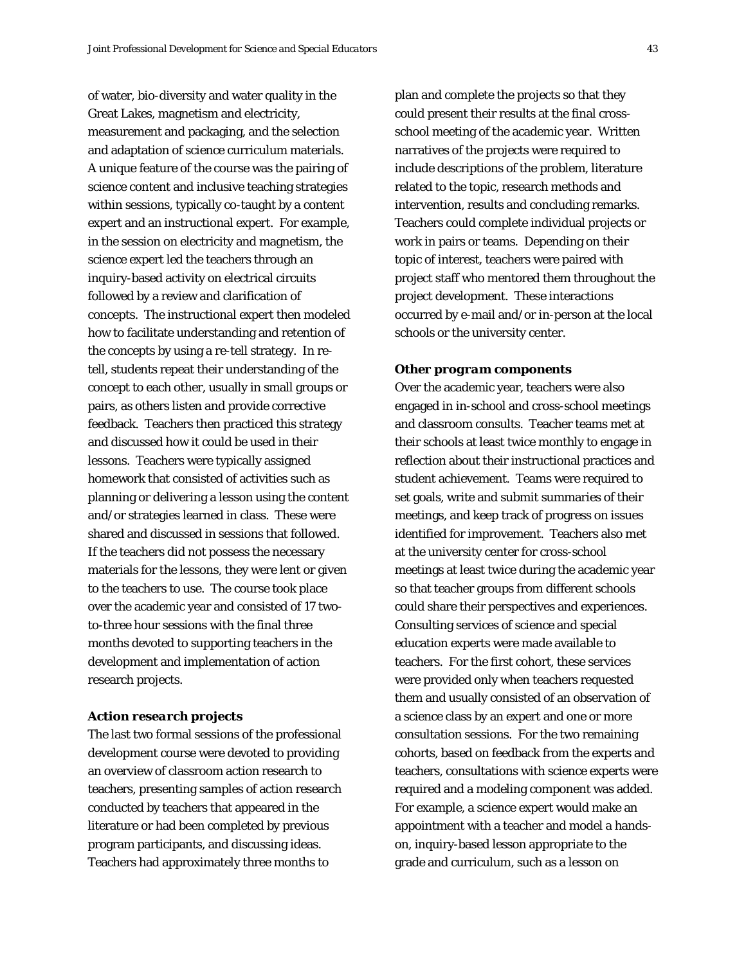of water, bio-diversity and water quality in the Great Lakes, magnetism and electricity, measurement and packaging, and the selection and adaptation of science curriculum materials. A unique feature of the course was the pairing of science content and inclusive teaching strategies within sessions, typically co-taught by a content expert and an instructional expert. For example, in the session on electricity and magnetism, the science expert led the teachers through an inquiry-based activity on electrical circuits followed by a review and clarification of concepts. The instructional expert then modeled how to facilitate understanding and retention of the concepts by using a re-tell strategy. In retell, students repeat their understanding of the concept to each other, usually in small groups or pairs, as others listen and provide corrective feedback. Teachers then practiced this strategy and discussed how it could be used in their lessons. Teachers were typically assigned homework that consisted of activities such as planning or delivering a lesson using the content and/or strategies learned in class. These were shared and discussed in sessions that followed. If the teachers did not possess the necessary materials for the lessons, they were lent or given to the teachers to use. The course took place over the academic year and consisted of 17 twoto-three hour sessions with the final three months devoted to supporting teachers in the development and implementation of action research projects.

#### *Action research projects*

The last two formal sessions of the professional development course were devoted to providing an overview of classroom action research to teachers, presenting samples of action research conducted by teachers that appeared in the literature or had been completed by previous program participants, and discussing ideas. Teachers had approximately three months to

plan and complete the projects so that they could present their results at the final crossschool meeting of the academic year. Written narratives of the projects were required to include descriptions of the problem, literature related to the topic, research methods and intervention, results and concluding remarks. Teachers could complete individual projects or work in pairs or teams. Depending on their topic of interest, teachers were paired with project staff who mentored them throughout the project development. These interactions occurred by e-mail and/or in-person at the local schools or the university center.

#### *Other program components*

Over the academic year, teachers were also engaged in in-school and cross-school meetings and classroom consults. Teacher teams met at their schools at least twice monthly to engage in reflection about their instructional practices and student achievement. Teams were required to set goals, write and submit summaries of their meetings, and keep track of progress on issues identified for improvement. Teachers also met at the university center for cross-school meetings at least twice during the academic year so that teacher groups from different schools could share their perspectives and experiences. Consulting services of science and special education experts were made available to teachers. For the first cohort, these services were provided only when teachers requested them and usually consisted of an observation of a science class by an expert and one or more consultation sessions. For the two remaining cohorts, based on feedback from the experts and teachers, consultations with science experts were required and a modeling component was added. For example, a science expert would make an appointment with a teacher and model a handson, inquiry-based lesson appropriate to the grade and curriculum, such as a lesson on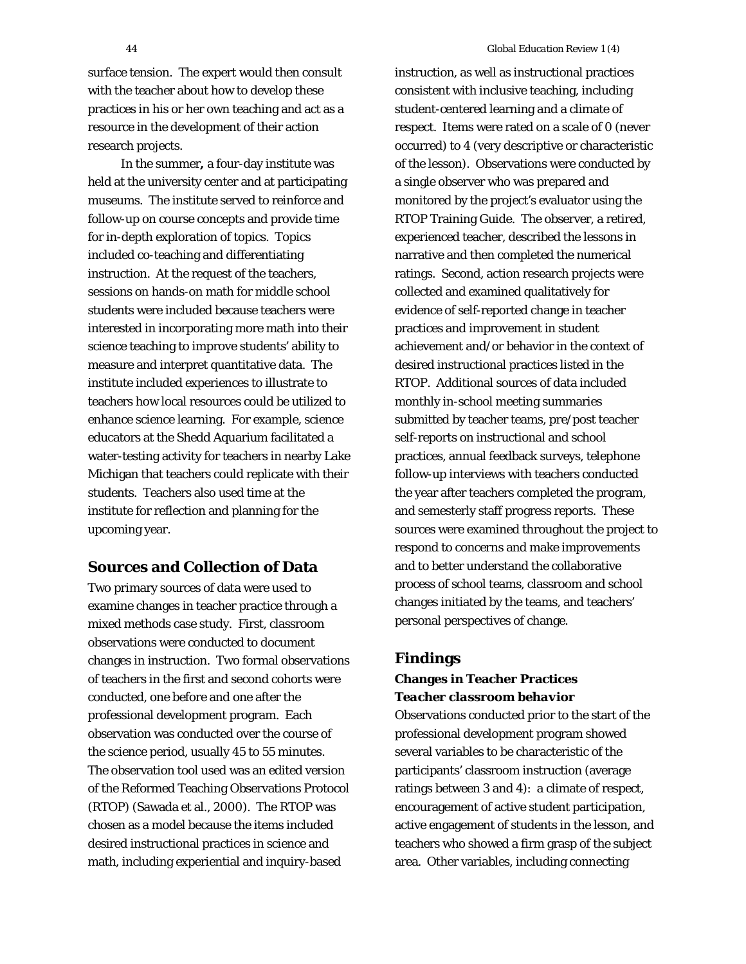surface tension. The expert would then consult with the teacher about how to develop these practices in his or her own teaching and act as a resource in the development of their action research projects.

In the summer**,** a four-day institute was held at the university center and at participating museums. The institute served to reinforce and follow-up on course concepts and provide time for in-depth exploration of topics. Topics included co-teaching and differentiating instruction. At the request of the teachers, sessions on hands-on math for middle school students were included because teachers were interested in incorporating more math into their science teaching to improve students' ability to measure and interpret quantitative data. The institute included experiences to illustrate to teachers how local resources could be utilized to enhance science learning. For example, science educators at the Shedd Aquarium facilitated a water-testing activity for teachers in nearby Lake Michigan that teachers could replicate with their students. Teachers also used time at the institute for reflection and planning for the upcoming year.

## **Sources and Collection of Data**

Two primary sources of data were used to examine changes in teacher practice through a mixed methods case study. First, classroom observations were conducted to document changes in instruction. Two formal observations of teachers in the first and second cohorts were conducted, one before and one after the professional development program. Each observation was conducted over the course of the science period, usually 45 to 55 minutes. The observation tool used was an edited version of the Reformed Teaching Observations Protocol (RTOP) (Sawada et al., 2000). The RTOP was chosen as a model because the items included desired instructional practices in science and math, including experiential and inquiry-based

instruction, as well as instructional practices consistent with inclusive teaching, including student-centered learning and a climate of respect. Items were rated on a scale of 0 (never occurred) to 4 (very descriptive or characteristic of the lesson). Observations were conducted by a single observer who was prepared and monitored by the project's evaluator using the RTOP Training Guide. The observer, a retired, experienced teacher, described the lessons in narrative and then completed the numerical ratings. Second, action research projects were collected and examined qualitatively for evidence of self-reported change in teacher practices and improvement in student achievement and/or behavior in the context of desired instructional practices listed in the RTOP. Additional sources of data included monthly in-school meeting summaries submitted by teacher teams, pre/post teacher self-reports on instructional and school practices, annual feedback surveys, telephone follow-up interviews with teachers conducted the year after teachers completed the program, and semesterly staff progress reports. These sources were examined throughout the project to respond to concerns and make improvements and to better understand the collaborative process of school teams, classroom and school changes initiated by the teams, and teachers' personal perspectives of change.

## **Findings Changes in Teacher Practices** *Teacher classroom behavior*

Observations conducted prior to the start of the professional development program showed several variables to be characteristic of the participants' classroom instruction (average ratings between 3 and 4): a climate of respect, encouragement of active student participation, active engagement of students in the lesson, and teachers who showed a firm grasp of the subject area. Other variables, including connecting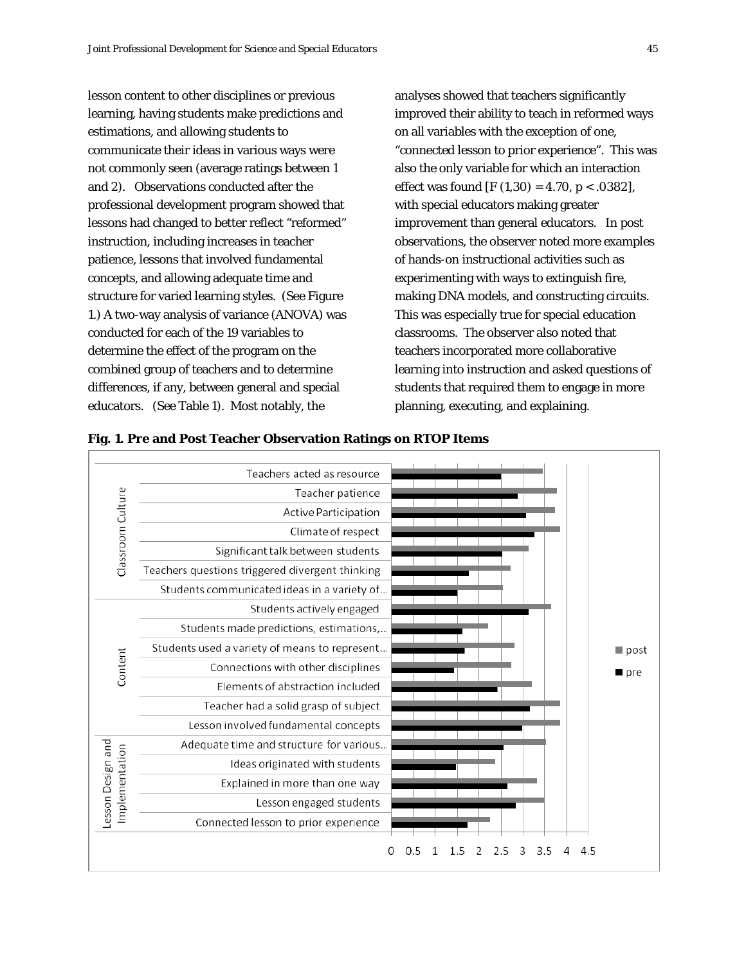lesson content to other disciplines or previous learning, having students make predictions and estimations, and allowing students to communicate their ideas in various ways were not commonly seen (average ratings between 1 and 2). Observations conducted after the professional development program showed that lessons had changed to better reflect "reformed" instruction, including increases in teacher patience, lessons that involved fundamental concepts, and allowing adequate time and structure for varied learning styles. (See Figure 1.) A two-way analysis of variance (ANOVA) was conducted for each of the 19 variables to determine the effect of the program on the combined group of teachers and to determine differences, if any, between general and special educators. (See Table 1). Most notably, the

analyses showed that teachers significantly improved their ability to teach in reformed ways on all variables with the exception of one, "connected lesson to prior experience". This was also the only variable for which an interaction effect was found [F  $(1,30) = 4.70$ , p < .0382], with special educators making greater improvement than general educators. In post observations, the observer noted more examples of hands-on instructional activities such as experimenting with ways to extinguish fire, making DNA models, and constructing circuits. This was especially true for special education classrooms. The observer also noted that teachers incorporated more collaborative learning into instruction and asked questions of students that required them to engage in more planning, executing, and explaining.



**Fig. 1. Pre and Post Teacher Observation Ratings on RTOP Items**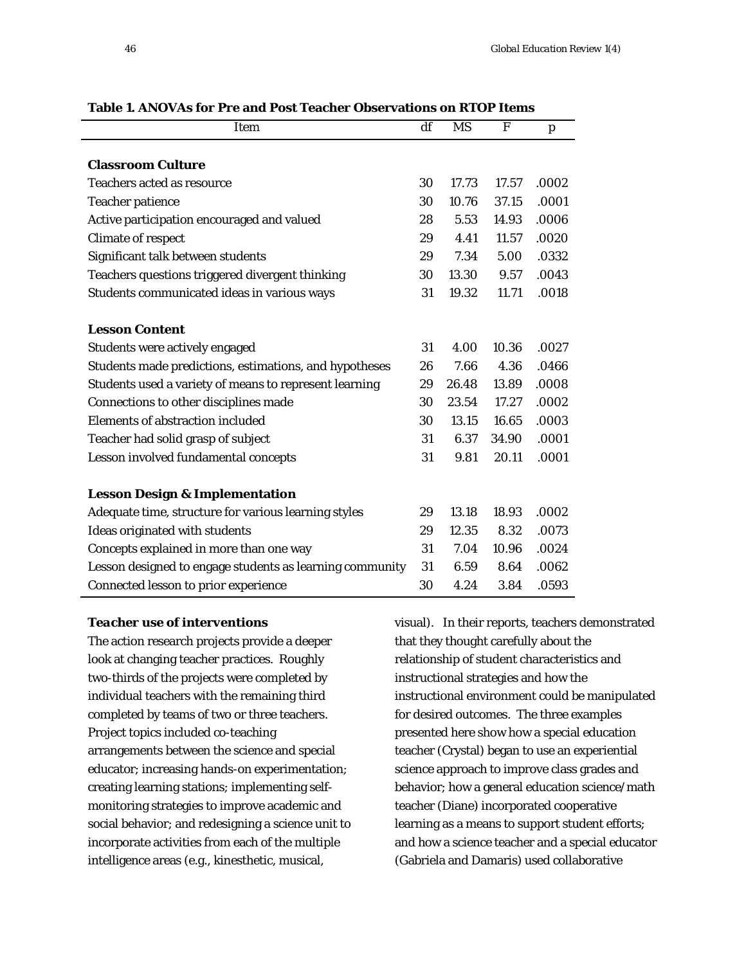| Item                                                     | df | <b>MS</b> | F     | p     |
|----------------------------------------------------------|----|-----------|-------|-------|
|                                                          |    |           |       |       |
| <b>Classroom Culture</b>                                 |    |           |       |       |
| <b>Teachers acted as resource</b>                        | 30 | 17.73     | 17.57 | .0002 |
| <b>Teacher patience</b>                                  | 30 | 10.76     | 37.15 | .0001 |
| Active participation encouraged and valued               | 28 | 5.53      | 14.93 | .0006 |
| <b>Climate of respect</b>                                | 29 | 4.41      | 11.57 | .0020 |
| Significant talk between students                        | 29 | 7.34      | 5.00  | .0332 |
| Teachers questions triggered divergent thinking          | 30 | 13.30     | 9.57  | .0043 |
| Students communicated ideas in various ways              | 31 | 19.32     | 11.71 | .0018 |
| <b>Lesson Content</b>                                    |    |           |       |       |
| Students were actively engaged                           | 31 | 4.00      | 10.36 | .0027 |
| Students made predictions, estimations, and hypotheses   | 26 | 7.66      | 4.36  | .0466 |
| Students used a variety of means to represent learning   | 29 | 26.48     | 13.89 | .0008 |
| Connections to other disciplines made                    | 30 | 23.54     | 17.27 | .0002 |
| <b>Elements of abstraction included</b>                  | 30 | 13.15     | 16.65 | .0003 |
| Teacher had solid grasp of subject                       | 31 | 6.37      | 34.90 | .0001 |
| Lesson involved fundamental concepts                     | 31 | 9.81      | 20.11 | .0001 |
| <b>Lesson Design &amp; Implementation</b>                |    |           |       |       |
| Adequate time, structure for various learning styles     | 29 | 13.18     | 18.93 | .0002 |
| Ideas originated with students                           | 29 | 12.35     | 8.32  | .0073 |
| Concepts explained in more than one way                  | 31 | 7.04      | 10.96 | .0024 |
| Lesson designed to engage students as learning community | 31 | 6.59      | 8.64  | .0062 |
| Connected lesson to prior experience                     | 30 | 4.24      | 3.84  | .0593 |

**Table 1. ANOVAs for Pre and Post Teacher Observations on RTOP Items**

#### *Teacher use of interventions*

The action research projects provide a deeper look at changing teacher practices. Roughly two-thirds of the projects were completed by individual teachers with the remaining third completed by teams of two or three teachers. Project topics included co-teaching arrangements between the science and special educator; increasing hands-on experimentation; creating learning stations; implementing selfmonitoring strategies to improve academic and social behavior; and redesigning a science unit to incorporate activities from each of the multiple intelligence areas (e.g., kinesthetic, musical,

visual). In their reports, teachers demonstrated that they thought carefully about the relationship of student characteristics and instructional strategies and how the instructional environment could be manipulated for desired outcomes. The three examples presented here show how a special education teacher (Crystal) began to use an experiential science approach to improve class grades and behavior; how a general education science/math teacher (Diane) incorporated cooperative learning as a means to support student efforts; and how a science teacher and a special educator (Gabriela and Damaris) used collaborative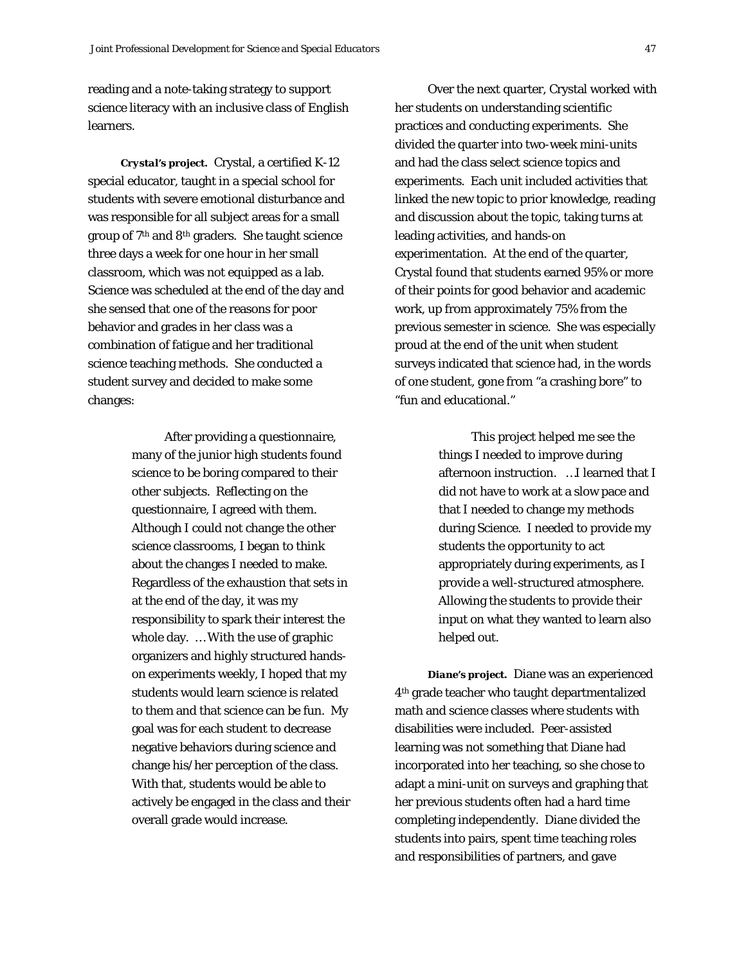reading and a note-taking strategy to support science literacy with an inclusive class of English learners.

*Crystal's project.* Crystal, a certified K-12 special educator, taught in a special school for students with severe emotional disturbance and was responsible for all subject areas for a small group of 7th and 8th graders. She taught science three days a week for one hour in her small classroom, which was not equipped as a lab. Science was scheduled at the end of the day and she sensed that one of the reasons for poor behavior and grades in her class was a combination of fatigue and her traditional science teaching methods. She conducted a student survey and decided to make some changes:

> After providing a questionnaire, many of the junior high students found science to be boring compared to their other subjects. Reflecting on the questionnaire, I agreed with them. Although I could not change the other science classrooms, I began to think about the changes I needed to make. Regardless of the exhaustion that sets in at the end of the day, it was my responsibility to spark their interest the whole day. … With the use of graphic organizers and highly structured handson experiments weekly, I hoped that my students would learn science is related to them and that science can be fun. My goal was for each student to decrease negative behaviors during science and change his/her perception of the class. With that, students would be able to actively be engaged in the class and their overall grade would increase.

Over the next quarter, Crystal worked with her students on understanding scientific practices and conducting experiments. She divided the quarter into two-week mini-units and had the class select science topics and experiments. Each unit included activities that linked the new topic to prior knowledge, reading and discussion about the topic, taking turns at leading activities, and hands-on experimentation. At the end of the quarter, Crystal found that students earned 95% or more of their points for good behavior and academic work, up from approximately 75% from the previous semester in science. She was especially proud at the end of the unit when student surveys indicated that science had, in the words of one student, gone from "a crashing bore" to "fun and educational."

> This project helped me see the things I needed to improve during afternoon instruction. …I learned that I did not have to work at a slow pace and that I needed to change my methods during Science. I needed to provide my students the opportunity to act appropriately during experiments, as I provide a well-structured atmosphere. Allowing the students to provide their input on what they wanted to learn also helped out.

*Diane's project.*Diane was an experienced 4th grade teacher who taught departmentalized math and science classes where students with disabilities were included. Peer-assisted learning was not something that Diane had incorporated into her teaching, so she chose to adapt a mini-unit on surveys and graphing that her previous students often had a hard time completing independently. Diane divided the students into pairs, spent time teaching roles and responsibilities of partners, and gave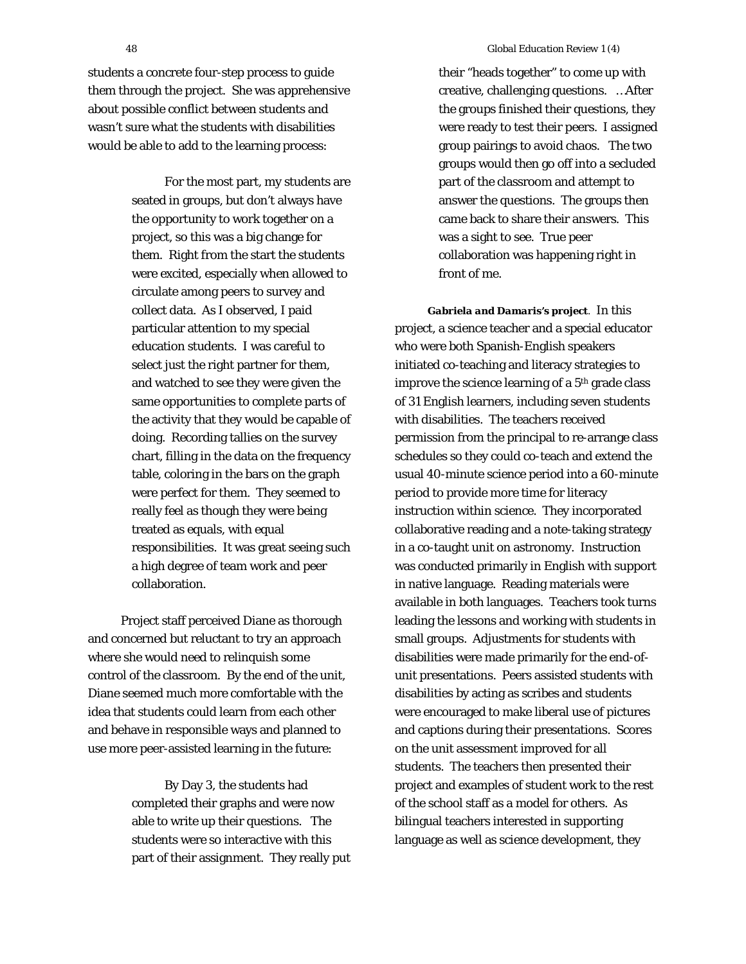students a concrete four-step process to guide them through the project. She was apprehensive about possible conflict between students and wasn't sure what the students with disabilities would be able to add to the learning process:

> For the most part, my students are seated in groups, but don't always have the opportunity to work together on a project, so this was a big change for them. Right from the start the students were excited, especially when allowed to circulate among peers to survey and collect data. As I observed, I paid particular attention to my special education students. I was careful to select just the right partner for them, and watched to see they were given the same opportunities to complete parts of the activity that they would be capable of doing. Recording tallies on the survey chart, filling in the data on the frequency table, coloring in the bars on the graph were perfect for them. They seemed to really feel as though they were being treated as equals, with equal responsibilities. It was great seeing such a high degree of team work and peer collaboration.

Project staff perceived Diane as thorough and concerned but reluctant to try an approach where she would need to relinquish some control of the classroom. By the end of the unit, Diane seemed much more comfortable with the idea that students could learn from each other and behave in responsible ways and planned to use more peer-assisted learning in the future:

> By Day 3, the students had completed their graphs and were now able to write up their questions. The students were so interactive with this part of their assignment. They really put

their "heads together" to come up with creative, challenging questions. …After the groups finished their questions, they were ready to test their peers. I assigned group pairings to avoid chaos. The two groups would then go off into a secluded part of the classroom and attempt to answer the questions. The groups then came back to share their answers. This was a sight to see. True peer collaboration was happening right in front of me.

*Gabriela and Damaris's project*. In this project, a science teacher and a special educator who were both Spanish-English speakers initiated co-teaching and literacy strategies to improve the science learning of a 5<sup>th</sup> grade class of 31 English learners, including seven students with disabilities. The teachers received permission from the principal to re-arrange class schedules so they could co-teach and extend the usual 40-minute science period into a 60-minute period to provide more time for literacy instruction within science. They incorporated collaborative reading and a note-taking strategy in a co-taught unit on astronomy. Instruction was conducted primarily in English with support in native language. Reading materials were available in both languages. Teachers took turns leading the lessons and working with students in small groups. Adjustments for students with disabilities were made primarily for the end-ofunit presentations. Peers assisted students with disabilities by acting as scribes and students were encouraged to make liberal use of pictures and captions during their presentations. Scores on the unit assessment improved for all students. The teachers then presented their project and examples of student work to the rest of the school staff as a model for others. As bilingual teachers interested in supporting language as well as science development, they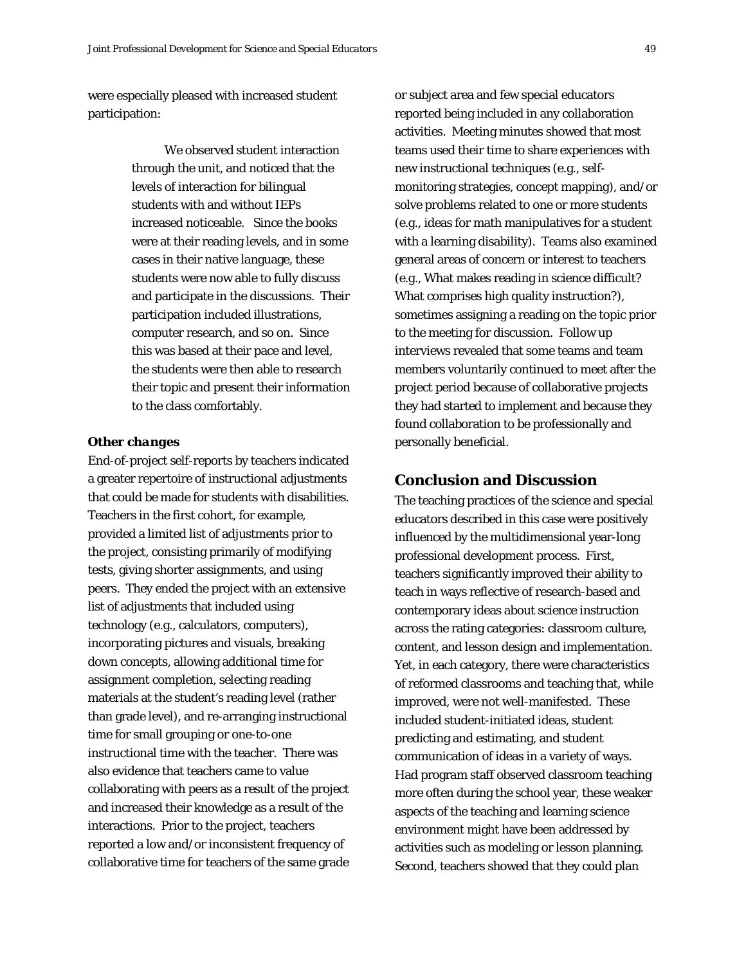were especially pleased with increased student participation:

> We observed student interaction through the unit, and noticed that the levels of interaction for bilingual students with and without IEPs increased noticeable. Since the books were at their reading levels, and in some cases in their native language, these students were now able to fully discuss and participate in the discussions. Their participation included illustrations, computer research, and so on. Since this was based at their pace and level, the students were then able to research their topic and present their information to the class comfortably.

#### *Other changes*

End-of-project self-reports by teachers indicated a greater repertoire of instructional adjustments that could be made for students with disabilities. Teachers in the first cohort, for example, provided a limited list of adjustments prior to the project, consisting primarily of modifying tests, giving shorter assignments, and using peers. They ended the project with an extensive list of adjustments that included using technology (e.g., calculators, computers), incorporating pictures and visuals, breaking down concepts, allowing additional time for assignment completion, selecting reading materials at the student's reading level (rather than grade level), and re-arranging instructional time for small grouping or one-to-one instructional time with the teacher. There was also evidence that teachers came to value collaborating with peers as a result of the project and increased their knowledge as a result of the interactions. Prior to the project, teachers reported a low and/or inconsistent frequency of collaborative time for teachers of the same grade

or subject area and few special educators reported being included in any collaboration activities. Meeting minutes showed that most teams used their time to share experiences with new instructional techniques (e.g., selfmonitoring strategies, concept mapping), and/or solve problems related to one or more students (e.g., ideas for math manipulatives for a student with a learning disability). Teams also examined general areas of concern or interest to teachers (e.g., What makes reading in science difficult? What comprises high quality instruction?), sometimes assigning a reading on the topic prior to the meeting for discussion*.* Follow up interviews revealed that some teams and team members voluntarily continued to meet after the project period because of collaborative projects they had started to implement and because they found collaboration to be professionally and personally beneficial.

## **Conclusion and Discussion**

The teaching practices of the science and special educators described in this case were positively influenced by the multidimensional year-long professional development process. First, teachers significantly improved their ability to teach in ways reflective of research-based and contemporary ideas about science instruction across the rating categories: classroom culture, content, and lesson design and implementation. Yet, in each category, there were characteristics of reformed classrooms and teaching that, while improved, were not well-manifested. These included student-initiated ideas, student predicting and estimating, and student communication of ideas in a variety of ways. Had program staff observed classroom teaching more often during the school year, these weaker aspects of the teaching and learning science environment might have been addressed by activities such as modeling or lesson planning. Second, teachers showed that they could plan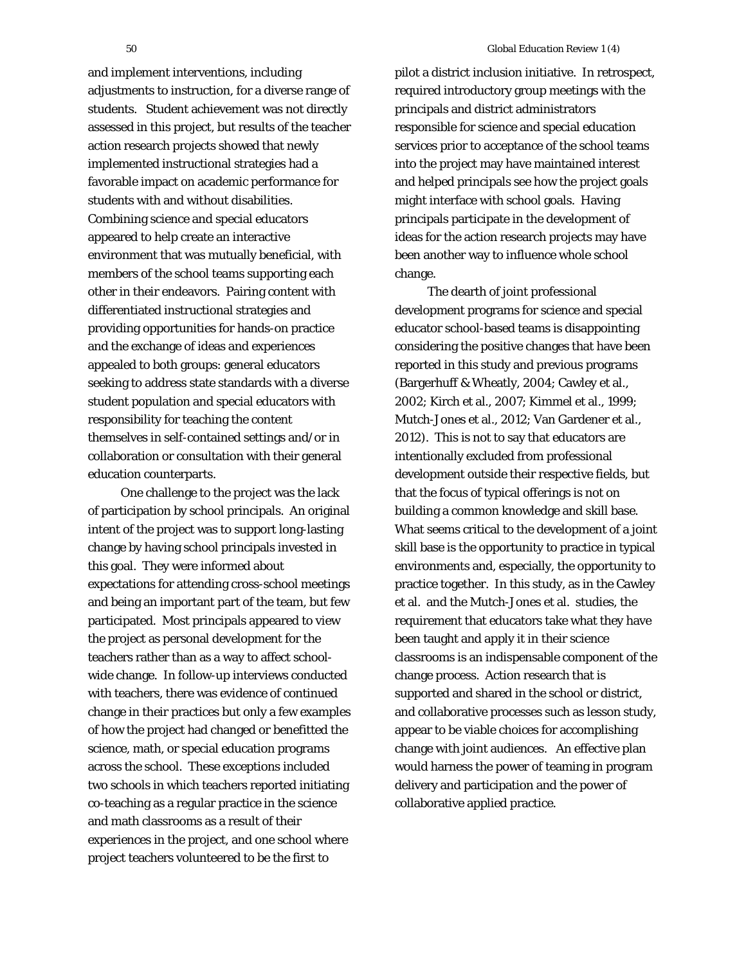and implement interventions, including adjustments to instruction, for a diverse range of students. Student achievement was not directly assessed in this project, but results of the teacher action research projects showed that newly implemented instructional strategies had a favorable impact on academic performance for students with and without disabilities. Combining science and special educators appeared to help create an interactive environment that was mutually beneficial, with members of the school teams supporting each other in their endeavors. Pairing content with differentiated instructional strategies and providing opportunities for hands-on practice and the exchange of ideas and experiences appealed to both groups: general educators seeking to address state standards with a diverse student population and special educators with responsibility for teaching the content themselves in self-contained settings and/or in collaboration or consultation with their general education counterparts.

One challenge to the project was the lack of participation by school principals. An original intent of the project was to support long-lasting change by having school principals invested in this goal. They were informed about expectations for attending cross-school meetings and being an important part of the team, but few participated. Most principals appeared to view the project as personal development for the teachers rather than as a way to affect schoolwide change. In follow-up interviews conducted with teachers, there was evidence of continued change in their practices but only a few examples of how the project had changed or benefitted the science, math, or special education programs across the school. These exceptions included two schools in which teachers reported initiating co-teaching as a regular practice in the science and math classrooms as a result of their experiences in the project, and one school where project teachers volunteered to be the first to

pilot a district inclusion initiative. In retrospect, required introductory group meetings with the principals and district administrators responsible for science and special education services prior to acceptance of the school teams into the project may have maintained interest and helped principals see how the project goals might interface with school goals. Having principals participate in the development of ideas for the action research projects may have been another way to influence whole school change.

The dearth of joint professional development programs for science and special educator school-based teams is disappointing considering the positive changes that have been reported in this study and previous programs (Bargerhuff & Wheatly, 2004; Cawley et al., 2002; Kirch et al., 2007; Kimmel et al., 1999; Mutch-Jones et al., 2012; Van Gardener et al., 2012). This is not to say that educators are intentionally excluded from professional development outside their respective fields, but that the focus of typical offerings is not on building a common knowledge and skill base. What seems critical to the development of a joint skill base is the opportunity to practice in typical environments and, especially, the opportunity to practice together. In this study, as in the Cawley et al. and the Mutch-Jones et al. studies, the requirement that educators take what they have been taught and apply it in their science classrooms is an indispensable component of the change process. Action research that is supported and shared in the school or district, and collaborative processes such as lesson study, appear to be viable choices for accomplishing change with joint audiences. An effective plan would harness the power of teaming in program delivery and participation and the power of collaborative applied practice.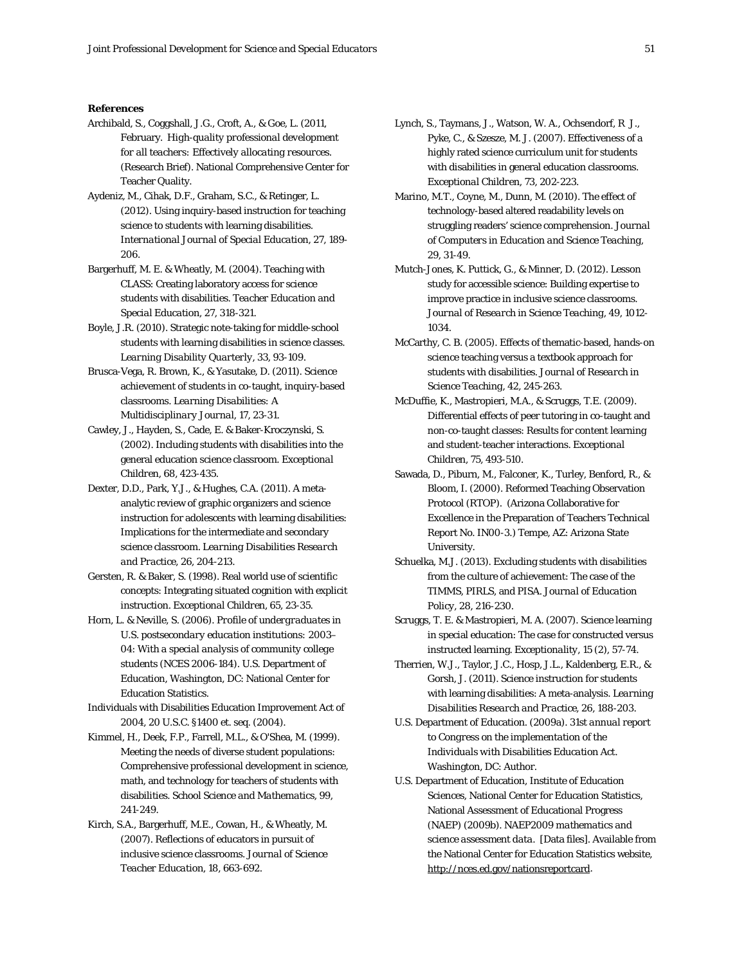#### **References**

- Archibald, S., Coggshall, J.G., Croft, A., & Goe, L. (2011, February. *High-quality professional development for all teachers: Effectively allocating resources.* (Research Brief). National Comprehensive Center for Teacher Quality.
- Aydeniz, M., Cihak, D.F., Graham, S.C., & Retinger, L. (2012). Using inquiry-based instruction for teaching science to students with learning disabilities. *International Journal of Special Education*, 27, 189- 206.
- Bargerhuff, M. E. & Wheatly, M. (2004). Teaching with CLASS: Creating laboratory access for science students with disabilities. *Teacher Education and Special Education,* 27, 318-321.
- Boyle, J.R. (2010). Strategic note-taking for middle-school students with learning disabilities in science classes. *Learning Disability Quarterly*, 33, 93-109.
- Brusca-Vega, R. Brown, K., & Yasutake, D. (2011). Science achievement of students in co-taught, inquiry-based classrooms. *Learning Disabilities: A Multidisciplinary Journal*, 17, 23-31.
- Cawley, J., Hayden, S., Cade, E. & Baker-Kroczynski, S. (2002). Including students with disabilities into the general education science classroom. *Exceptional Children,* 68, 423-435.
- Dexter, D.D., Park, Y.J., & Hughes, C.A. (2011). A metaanalytic review of graphic organizers and science instruction for adolescents with learning disabilities: Implications for the intermediate and secondary science classroom. *Learning Disabilities Research and Practice*, 26, 204-213.
- Gersten, R. & Baker, S. (1998). Real world use of scientific concepts: Integrating situated cognition with explicit instruction. *Exceptional Children,* 65, 23-35.
- Horn, L. & Neville, S. (2006). *Profile of undergraduates in U.S. postsecondary education institutions: 2003– 04*: *With a special analysis of community college students (NCES 2006-184).* U.S. Department of Education, Washington, DC: National Center for Education Statistics.
- Individuals with Disabilities Education Improvement Act of 2004, 20 U.S.C. §1400 et. seq. (2004).
- Kimmel, H., Deek, F.P., Farrell, M.L., & O'Shea, M. (1999). Meeting the needs of diverse student populations: Comprehensive professional development in science, math, and technology for teachers of students with disabilities. *School Science and Mathematics,* 99, 241-249.
- Kirch, S.A., Bargerhuff, M.E., Cowan, H., & Wheatly, M. (2007). Reflections of educators in pursuit of inclusive science classrooms. *Journal of Science Teacher Education,* 18, 663-692.
- Lynch, S., Taymans, J., Watson, W. A., Ochsendorf, R J., Pyke, C., & Szesze, M. J. (2007). Effectiveness of a highly rated science curriculum unit for students with disabilities in general education classrooms. *Exceptional Children, 73*, 202-223.
- Marino, M.T., Coyne, M., Dunn, M. (2010). The effect of technology-based altered readability levels on struggling readers' science comprehension. *Journal of Computers in Education and Science Teaching*, 29, 31-49.
- Mutch-Jones, K. Puttick, G., & Minner, D. (2012). Lesson study for accessible science: Building expertise to improve practice in inclusive science classrooms. *Journal of Research in Science Teaching*, 49, 1012- 1034.
- McCarthy, C. B. (2005). Effects of thematic-based, hands-on science teaching versus a textbook approach for students with disabilities. *Journal of Research in Science Teaching,* 42, 245-263.
- McDuffie, K., Mastropieri, M.A., & Scruggs, T.E. (2009). Differential effects of peer tutoring in co-taught and non-co-taught classes: Results for content learning and student-teacher interactions. *Exceptional Children*, 75, 493-510.
- Sawada, D., Piburn, M., Falconer, K., Turley, Benford, R., & Bloom, I. (2000). Reformed Teaching Observation Protocol (RTOP). (Arizona Collaborative for Excellence in the Preparation of Teachers Technical Report No. IN00-3.) Tempe, AZ: Arizona State University.
- Schuelka, M.J. (2013). Excluding students with disabilities from the culture of achievement: The case of the TIMMS, PIRLS, and PISA. *Journal of Education Policy*, 28, 216-230.
- Scruggs, T. E. & Mastropieri, M. A. (2007). Science learning in special education: The case for constructed versus instructed learning. *Exceptionality,* 15 (2), 57-74.
- Therrien, W.J., Taylor, J.C., Hosp, J.L., Kaldenberg, E.R., & Gorsh, J. (2011). Science instruction for students with learning disabilities: A meta-analysis. *Learning Disabilities Research and Practice*, 26, 188-203.
- U.S. Department of Education. (2009a). *31st annual report to Congress on the implementation of the Individuals with Disabilities Education Act*. Washington, DC: Author.
- U.S. Department of Education, Institute of Education Sciences, National Center for Education Statistics, National Assessment of Educational Progress (NAEP) (2009b). *NAEP2009 mathematics and science assessment data*. [Data files]. Available from the National Center for Education Statistics website, [http://nces.ed.gov/nationsreportcard.](http://nces.ed.gov/nationsreportcard)